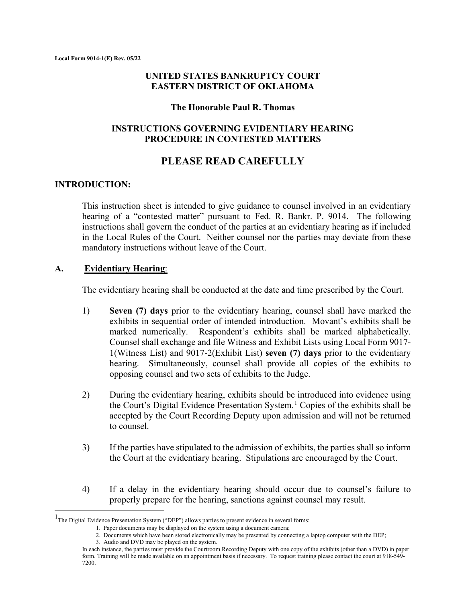# **UNITED STATES BANKRUPTCY COURT EASTERN DISTRICT OF OKLAHOMA**

#### **The Honorable Paul R. Thomas**

# **INSTRUCTIONS GOVERNING EVIDENTIARY HEARING PROCEDURE IN CONTESTED MATTERS**

# **PLEASE READ CAREFULLY**

# **INTRODUCTION:**

This instruction sheet is intended to give guidance to counsel involved in an evidentiary hearing of a "contested matter" pursuant to Fed. R. Bankr. P. 9014. The following instructions shall govern the conduct of the parties at an evidentiary hearing as if included in the Local Rules of the Court. Neither counsel nor the parties may deviate from these mandatory instructions without leave of the Court.

### **A. Evidentiary Hearing**:

The evidentiary hearing shall be conducted at the date and time prescribed by the Court.

- 1) **Seven (7) days** prior to the evidentiary hearing, counsel shall have marked the exhibits in sequential order of intended introduction. Movant's exhibits shall be marked numerically. Respondent's exhibits shall be marked alphabetically. Counsel shall exchange and file Witness and Exhibit Lists using Local Form 9017- 1(Witness List) and 9017-2(Exhibit List) **seven (7) days** prior to the evidentiary hearing. Simultaneously, counsel shall provide all copies of the exhibits to opposing counsel and two sets of exhibits to the Judge.
- 2) During the evidentiary hearing, exhibits should be introduced into evidence using the Court's Digital Evidence Presentation System.<sup>[1](#page-0-0)</sup> Copies of the exhibits shall be accepted by the Court Recording Deputy upon admission and will not be returned to counsel.
- 3) If the parties have stipulated to the admission of exhibits, the parties shall so inform the Court at the evidentiary hearing. Stipulations are encouraged by the Court.
- 4) If a delay in the evidentiary hearing should occur due to counsel's failure to properly prepare for the hearing, sanctions against counsel may result.

<span id="page-0-0"></span><sup>&</sup>lt;sup>1</sup>The Digital Evidence Presentation System ("DEP") allows parties to present evidence in several forms:

<sup>1.</sup> Paper documents may be displayed on the system using a document camera;

<sup>2.</sup> Documents which have been stored electronically may be presented by connecting a laptop computer with the DEP;

<sup>3.</sup> Audio and DVD may be played on the system.

In each instance, the parties must provide the Courtroom Recording Deputy with one copy of the exhibits (other than a DVD) in paper form. Training will be made available on an appointment basis if necessary. To request training please contact the court at 918-549- 7200.